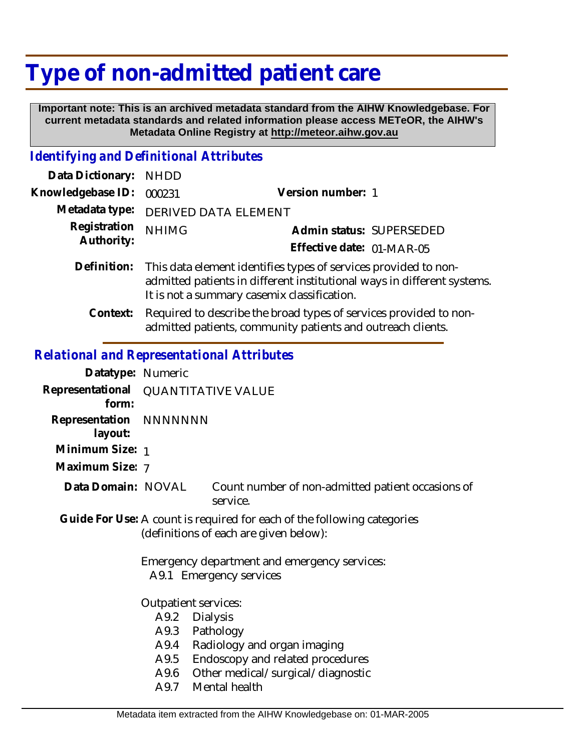# **Type of non-admitted patient care**

 **Important note: This is an archived metadata standard from the AIHW Knowledgebase. For current metadata standards and related information please access METeOR, the AIHW's Metadata Online Registry at http://meteor.aihw.gov.au**

# *Identifying and Definitional Attributes*

| Data Dictionary: NHDD      |                                                                                                                                                                                           |                           |
|----------------------------|-------------------------------------------------------------------------------------------------------------------------------------------------------------------------------------------|---------------------------|
| Knowledgebase ID:          | 000231                                                                                                                                                                                    | Version number: 1         |
| Metadata type:             | <b>DERIVED DATA ELEMENT</b>                                                                                                                                                               |                           |
| Registration<br>Authority: | <b>NHIMG</b>                                                                                                                                                                              | Admin status: SUPERSEDED  |
|                            |                                                                                                                                                                                           | Effective date: 01-MAR-05 |
| Definition:                | This data element identifies types of services provided to non-<br>admitted patients in different institutional ways in different systems.<br>It is not a summary casemix classification. |                           |
| Context:                   | Required to describe the broad types of services provided to non-                                                                                                                         |                           |

admitted patients, community patients and outreach clients.

## *Relational and Representational Attributes*

| Datatype: Numeric                                                                                                 |                                     |                                                                 |  |
|-------------------------------------------------------------------------------------------------------------------|-------------------------------------|-----------------------------------------------------------------|--|
| form:                                                                                                             | Representational QUANTITATIVE VALUE |                                                                 |  |
| Representation NNNNNNN<br>layout:                                                                                 |                                     |                                                                 |  |
| Minimum Size: 1                                                                                                   |                                     |                                                                 |  |
| Maximum Size: 7                                                                                                   |                                     |                                                                 |  |
| Data Domain: NOVAL                                                                                                |                                     | Count number of non-admitted patient occasions of<br>service.   |  |
| Guide For Use: A count is required for each of the following categories<br>(definitions of each are given below): |                                     |                                                                 |  |
| Emergency department and emergency services:<br>A9.1 Emergency services                                           |                                     |                                                                 |  |
| Outpatient services:                                                                                              |                                     |                                                                 |  |
|                                                                                                                   | A9.2                                | <b>Dialysis</b>                                                 |  |
|                                                                                                                   | A9.3                                | Pathology                                                       |  |
|                                                                                                                   | A9.4<br>A9.5                        | Radiology and organ imaging<br>Endoscopy and related procedures |  |
|                                                                                                                   | A9.6                                | Other medical/surgical/diagnostic                               |  |
|                                                                                                                   | A9.7                                | Mental health                                                   |  |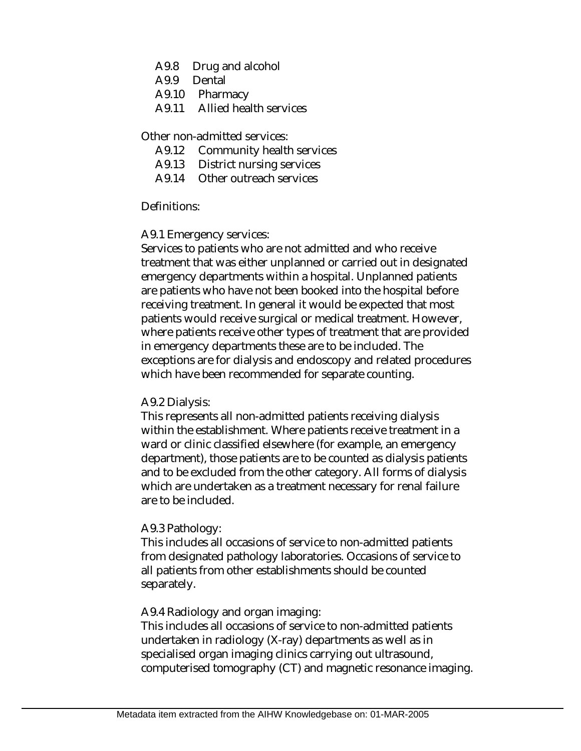- A9.8 Drug and alcohol
- A9.9 Dental
- A9.10 Pharmacy
- A9.11 Allied health services

Other non-admitted services:

- A9.12 Community health services
- A9.13 District nursing services
- A9.14 Other outreach services

#### Definitions:

#### A9.1 Emergency services:

Services to patients who are not admitted and who receive treatment that was either unplanned or carried out in designated emergency departments within a hospital. Unplanned patients are patients who have not been booked into the hospital before receiving treatment. In general it would be expected that most patients would receive surgical or medical treatment. However, where patients receive other types of treatment that are provided in emergency departments these are to be included. The exceptions are for dialysis and endoscopy and related procedures which have been recommended for separate counting.

#### A9.2 Dialysis:

This represents all non-admitted patients receiving dialysis within the establishment. Where patients receive treatment in a ward or clinic classified elsewhere (for example, an emergency department), those patients are to be counted as dialysis patients and to be excluded from the other category. All forms of dialysis which are undertaken as a treatment necessary for renal failure are to be included.

#### A9.3 Pathology:

This includes all occasions of service to non-admitted patients from designated pathology laboratories. Occasions of service to all patients from other establishments should be counted separately.

#### A9.4 Radiology and organ imaging:

This includes all occasions of service to non-admitted patients undertaken in radiology (X-ray) departments as well as in specialised organ imaging clinics carrying out ultrasound, computerised tomography (CT) and magnetic resonance imaging.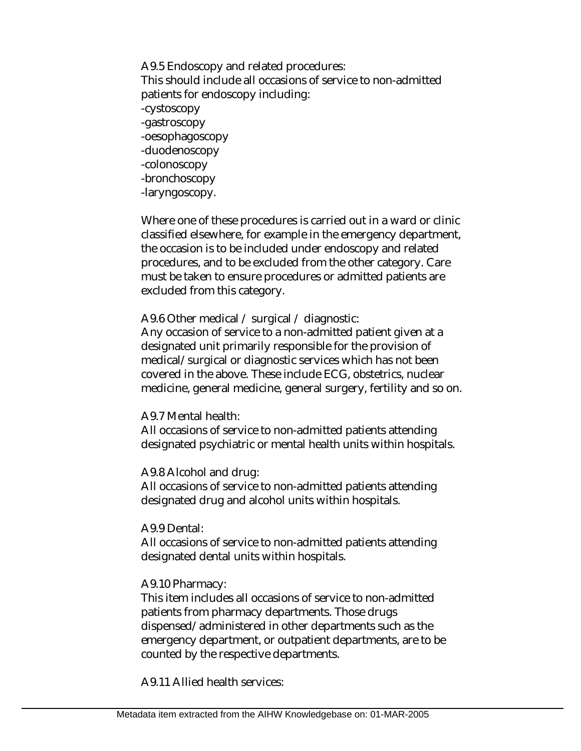A9.5 Endoscopy and related procedures: This should include all occasions of service to non-admitted patients for endoscopy including: -cystoscopy -gastroscopy -oesophagoscopy -duodenoscopy -colonoscopy -bronchoscopy -laryngoscopy.

Where one of these procedures is carried out in a ward or clinic classified elsewhere, for example in the emergency department, the occasion is to be included under endoscopy and related procedures, and to be excluded from the other category. Care must be taken to ensure procedures or admitted patients are excluded from this category.

A9.6 Other medical / surgical / diagnostic:

Any occasion of service to a non-admitted patient given at a designated unit primarily responsible for the provision of medical/surgical or diagnostic services which has not been covered in the above. These include ECG, obstetrics, nuclear medicine, general medicine, general surgery, fertility and so on.

#### A9.7 Mental health:

All occasions of service to non-admitted patients attending designated psychiatric or mental health units within hospitals.

A9.8 Alcohol and drug:

All occasions of service to non-admitted patients attending designated drug and alcohol units within hospitals.

A9.9 Dental:

All occasions of service to non-admitted patients attending designated dental units within hospitals.

#### A9.10 Pharmacy:

This item includes all occasions of service to non-admitted patients from pharmacy departments. Those drugs dispensed/administered in other departments such as the emergency department, or outpatient departments, are to be counted by the respective departments.

A9.11 Allied health services: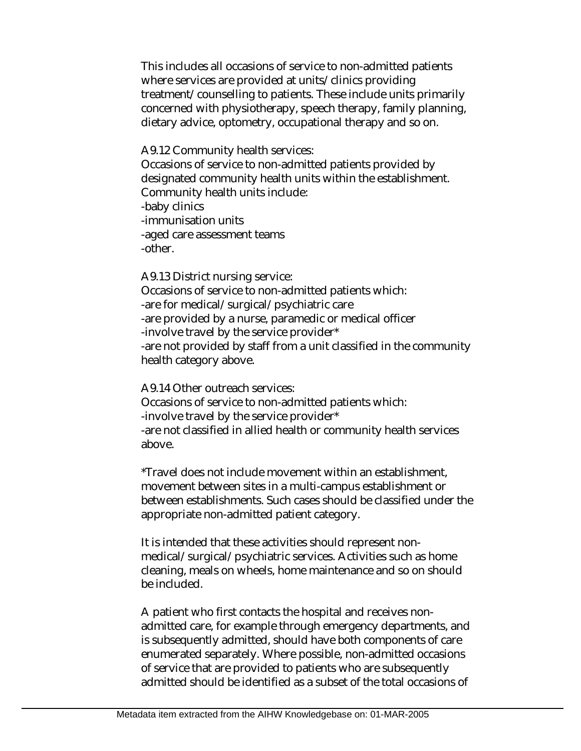This includes all occasions of service to non-admitted patients where services are provided at units/clinics providing treatment/counselling to patients. These include units primarily concerned with physiotherapy, speech therapy, family planning, dietary advice, optometry, occupational therapy and so on.

#### A9.12 Community health services:

Occasions of service to non-admitted patients provided by designated community health units within the establishment. Community health units include: -baby clinics -immunisation units -aged care assessment teams -other.

A9.13 District nursing service:

Occasions of service to non-admitted patients which: -are for medical/surgical/psychiatric care -are provided by a nurse, paramedic or medical officer -involve travel by the service provider\* -are not provided by staff from a unit classified in the community health category above.

A9.14 Other outreach services: Occasions of service to non-admitted patients which: -involve travel by the service provider\* -are not classified in allied health or community health services

above.

\*Travel does not include movement within an establishment, movement between sites in a multi-campus establishment or between establishments. Such cases should be classified under the appropriate non-admitted patient category.

It is intended that these activities should represent nonmedical/surgical/psychiatric services. Activities such as home cleaning, meals on wheels, home maintenance and so on should be included.

A patient who first contacts the hospital and receives nonadmitted care, for example through emergency departments, and is subsequently admitted, should have both components of care enumerated separately. Where possible, non-admitted occasions of service that are provided to patients who are subsequently admitted should be identified as a subset of the total occasions of